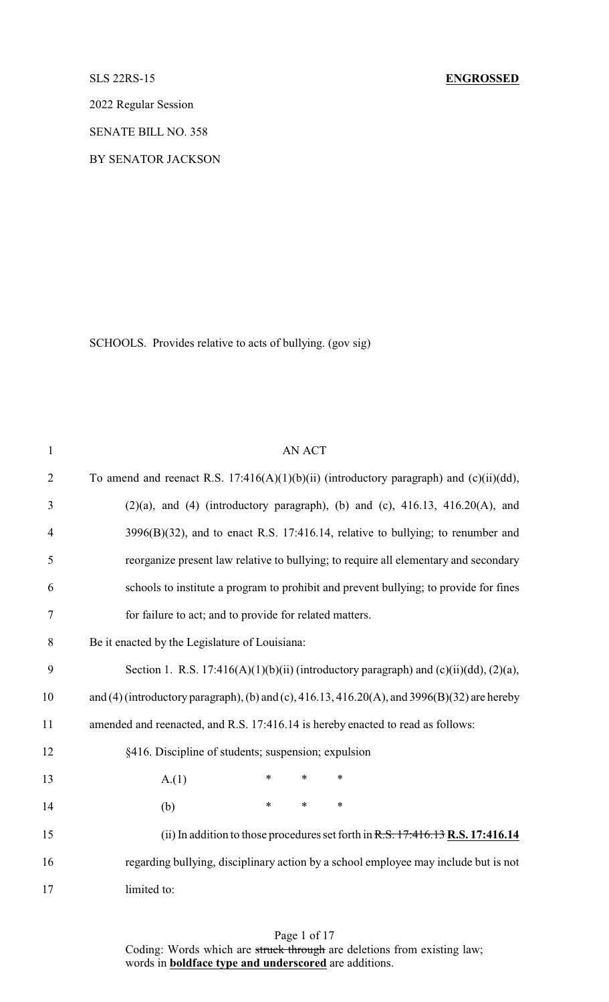#### SLS 22RS-15 **ENGROSSED**

2022 Regular Session

SENATE BILL NO. 358

BY SENATOR JACKSON

SCHOOLS. Provides relative to acts of bullying. (gov sig)

| $\mathbf{1}$   | <b>AN ACT</b>                                                                                |
|----------------|----------------------------------------------------------------------------------------------|
| $\overline{2}$ | To amend and reenact R.S. 17:416(A)(1)(b)(ii) (introductory paragraph) and (c)(ii)(dd),      |
| $\mathfrak{Z}$ | $(2)(a)$ , and $(4)$ (introductory paragraph), (b) and (c), $416.13$ , $416.20(A)$ , and     |
| 4              | $3996(B)(32)$ , and to enact R.S. 17:416.14, relative to bullying; to renumber and           |
| 5              | reorganize present law relative to bullying; to require all elementary and secondary         |
| 6              | schools to institute a program to prohibit and prevent bullying; to provide for fines        |
| $\tau$         | for failure to act; and to provide for related matters.                                      |
| $8\,$          | Be it enacted by the Legislature of Louisiana:                                               |
| 9              | Section 1. R.S. 17:416(A)(1)(b)(ii) (introductory paragraph) and (c)(ii)(dd), (2)(a),        |
| 10             | and (4) (introductory paragraph), (b) and (c), 416.13, 416.20(A), and 3996(B)(32) are hereby |
| 11             | amended and reenacted, and R.S. 17:416.14 is hereby enacted to read as follows:              |
| 12             | §416. Discipline of students; suspension; expulsion                                          |
| 13             | $\ast$<br>$\ast$<br>A.(1)<br>$\ast$                                                          |
| 14             | $\ast$<br>$\ast$<br>$\ast$<br>(b)                                                            |
| 15             | (ii) In addition to those procedures set forth in $R.S. 17:416.13 R.S. 17:416.14$            |
| 16             | regarding bullying, disciplinary action by a school employee may include but is not          |
| 17             | limited to:                                                                                  |

## Page 1 of 17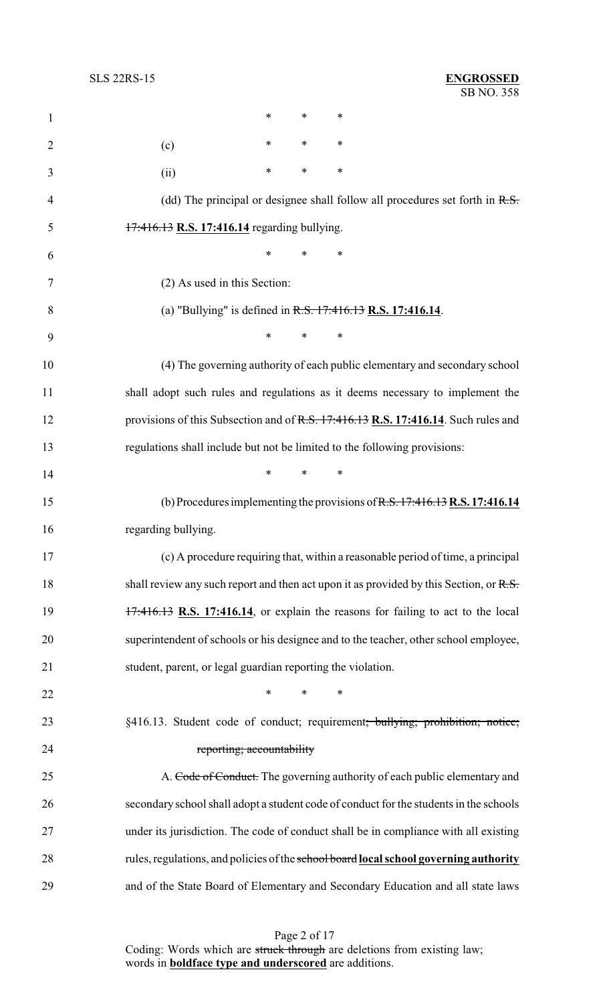| $\mathbf{1}$   | $\ast$<br>∗<br>∗                                                                          |
|----------------|-------------------------------------------------------------------------------------------|
| $\overline{2}$ | ∗<br>∗<br>∗<br>(c)                                                                        |
| 3              | $\ast$<br>∗<br>∗<br>(ii)                                                                  |
| $\overline{4}$ | (dd) The principal or designee shall follow all procedures set forth in $R.S.$            |
| 5              | 17:416.13 R.S. 17:416.14 regarding bullying.                                              |
| 6              | ∗<br>$\ast$<br>∗                                                                          |
| 7              | (2) As used in this Section:                                                              |
| 8              | (a) "Bullying" is defined in $R.S. 17:416.13 R.S. 17:416.14$ .                            |
| 9              | *<br>$\ast$<br>∗                                                                          |
| 10             | (4) The governing authority of each public elementary and secondary school                |
| 11             | shall adopt such rules and regulations as it deems necessary to implement the             |
| 12             | provisions of this Subsection and of R.S. 17:416.13 R.S. 17:416.14. Such rules and        |
| 13             | regulations shall include but not be limited to the following provisions:                 |
| 14             | $\ast$<br>∗<br>*                                                                          |
| 15             | (b) Procedures implementing the provisions of $R.S. 17:416.13 R.S. 17:416.14$             |
| 16             | regarding bullying.                                                                       |
| 17             | (c) A procedure requiring that, within a reasonable period of time, a principal           |
| 18             | shall review any such report and then act upon it as provided by this Section, or $R.S.$  |
| 19             | $17:416.13$ R.S. 17:416.14, or explain the reasons for failing to act to the local        |
| 20             | superintendent of schools or his designee and to the teacher, other school employee,      |
| 21             | student, parent, or legal guardian reporting the violation.                               |
| 22             | ∗<br>$\ast$<br>∗                                                                          |
| 23             | §416.13. Student code of conduct; requirement <del>; bullying; prohibition; notice;</del> |
| 24             | reporting; accountability                                                                 |
| 25             | A. Code of Conduct. The governing authority of each public elementary and                 |
| 26             | secondary school shall adopt a student code of conduct for the students in the schools    |
| 27             | under its jurisdiction. The code of conduct shall be in compliance with all existing      |
| 28             | rules, regulations, and policies of the school board local school governing authority     |
| 29             | and of the State Board of Elementary and Secondary Education and all state laws           |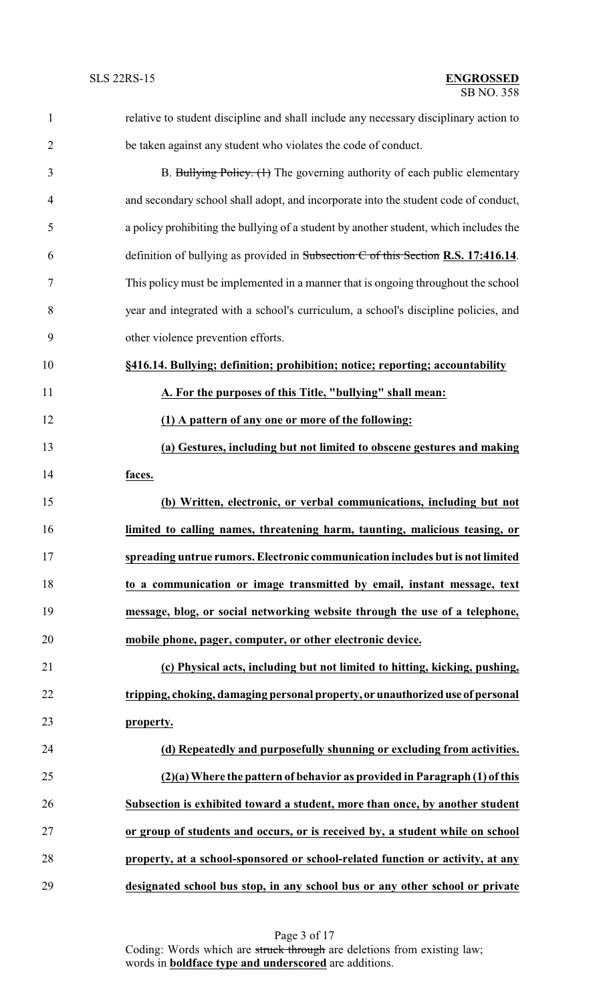| 1              | relative to student discipline and shall include any necessary disciplinary action to |
|----------------|---------------------------------------------------------------------------------------|
| $\overline{2}$ | be taken against any student who violates the code of conduct.                        |
| 3              | B. Bullying Policy. (1) The governing authority of each public elementary             |
| $\overline{4}$ | and secondary school shall adopt, and incorporate into the student code of conduct,   |
| 5              | a policy prohibiting the bullying of a student by another student, which includes the |
| 6              | definition of bullying as provided in Subsection $C$ of this Section R.S. 17:416.14.  |
| 7              | This policy must be implemented in a manner that is ongoing throughout the school     |
| 8              | year and integrated with a school's curriculum, a school's discipline policies, and   |
| 9              | other violence prevention efforts.                                                    |
| 10             | §416.14. Bullying; definition; prohibition; notice; reporting; accountability         |
| 11             | A. For the purposes of this Title, "bullying" shall mean:                             |
| 12             | (1) A pattern of any one or more of the following:                                    |
| 13             | (a) Gestures, including but not limited to obscene gestures and making                |
| 14             | faces.                                                                                |
| 15             | (b) Written, electronic, or verbal communications, including but not                  |
| 16             | limited to calling names, threatening harm, taunting, malicious teasing, or           |
| 17             | spreading untrue rumors. Electronic communication includes but is not limited         |
| 18             | to a communication or image transmitted by email, instant message, text               |
| 19             | message, blog, or social networking website through the use of a telephone,           |
| 20             | mobile phone, pager, computer, or other electronic device.                            |
| 21             | (c) Physical acts, including but not limited to hitting, kicking, pushing,            |
| 22             | tripping, choking, damaging personal property, or unauthorized use of personal        |
| 23             | property.                                                                             |
| 24             | (d) Repeatedly and purposefully shunning or excluding from activities.                |
| 25             | $(2)(a)$ Where the pattern of behavior as provided in Paragraph $(1)$ of this         |
| 26             | Subsection is exhibited toward a student, more than once, by another student          |
| 27             | or group of students and occurs, or is received by, a student while on school         |
| 28             | property, at a school-sponsored or school-related function or activity, at any        |
| 29             | designated school bus stop, in any school bus or any other school or private          |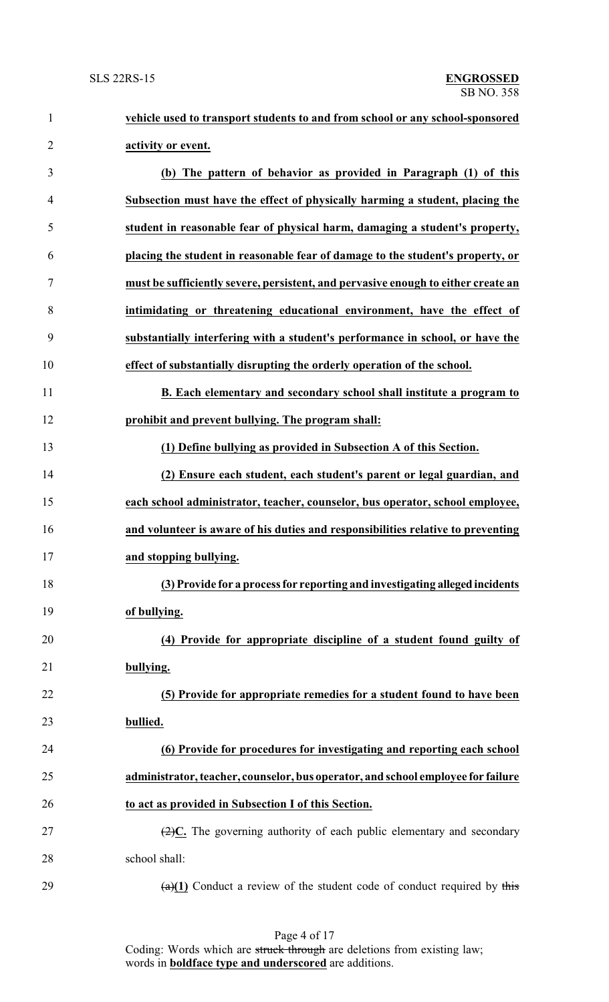| $\mathbf{1}$   | vehicle used to transport students to and from school or any school-sponsored                 |
|----------------|-----------------------------------------------------------------------------------------------|
| $\overline{2}$ | activity or event.                                                                            |
| 3              | (b) The pattern of behavior as provided in Paragraph (1) of this                              |
| 4              | Subsection must have the effect of physically harming a student, placing the                  |
| 5              | student in reasonable fear of physical harm, damaging a student's property,                   |
| 6              | placing the student in reasonable fear of damage to the student's property, or                |
| 7              | must be sufficiently severe, persistent, and pervasive enough to either create an             |
| 8              | intimidating or threatening educational environment, have the effect of                       |
| 9              | substantially interfering with a student's performance in school, or have the                 |
| 10             | effect of substantially disrupting the orderly operation of the school.                       |
| 11             | B. Each elementary and secondary school shall institute a program to                          |
| 12             | prohibit and prevent bullying. The program shall:                                             |
| 13             | (1) Define bullying as provided in Subsection A of this Section.                              |
| 14             | (2) Ensure each student, each student's parent or legal guardian, and                         |
| 15             | each school administrator, teacher, counselor, bus operator, school employee,                 |
| 16             | and volunteer is aware of his duties and responsibilities relative to preventing              |
| 17             | and stopping bullying.                                                                        |
| 18             | (3) Provide for a process for reporting and investigating alleged incidents                   |
| 19             | of bullying.                                                                                  |
| 20             | (4) Provide for appropriate discipline of a student found guilty of                           |
| 21             | bullying.                                                                                     |
| 22             | (5) Provide for appropriate remedies for a student found to have been                         |
| 23             | bullied.                                                                                      |
| 24             | (6) Provide for procedures for investigating and reporting each school                        |
| 25             | administrator, teacher, counselor, bus operator, and school employee for failure              |
| 26             | to act as provided in Subsection I of this Section.                                           |
| 27             | $\left(\frac{2}{2}\right)C$ . The governing authority of each public elementary and secondary |
| 28             | school shall:                                                                                 |
| 29             | $\frac{a(1)}{1}$ Conduct a review of the student code of conduct required by this             |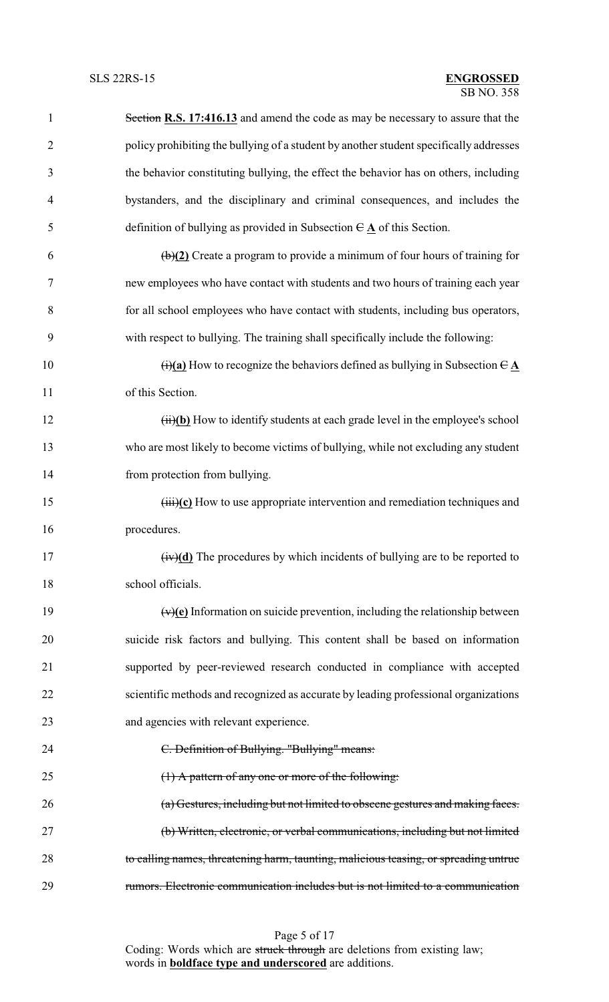| $\mathbf{1}$   | Section R.S. 17:416.13 and amend the code as may be necessary to assure that the                                   |
|----------------|--------------------------------------------------------------------------------------------------------------------|
| $\overline{2}$ | policy prohibiting the bullying of a student by another student specifically addresses                             |
| 3              | the behavior constituting bullying, the effect the behavior has on others, including                               |
| $\overline{4}$ | bystanders, and the disciplinary and criminal consequences, and includes the                                       |
| 5              | definition of bullying as provided in Subsection $\theta \mathbf{A}$ of this Section.                              |
| 6              | $\left(\frac{b}{2}\right)$ Create a program to provide a minimum of four hours of training for                     |
| 7              | new employees who have contact with students and two hours of training each year                                   |
| 8              | for all school employees who have contact with students, including bus operators,                                  |
| 9              | with respect to bullying. The training shall specifically include the following:                                   |
| 10             | $\overrightarrow{(t)}$ (a) How to recognize the behaviors defined as bullying in Subsection $\overrightarrow{C}$ A |
| 11             | of this Section.                                                                                                   |
| 12             | (ii)(b) How to identify students at each grade level in the employee's school                                      |
| 13             | who are most likely to become victims of bullying, while not excluding any student                                 |
| 14             | from protection from bullying.                                                                                     |
| 15             | $\overrightarrow{(\text{iii})}$ (c) How to use appropriate intervention and remediation techniques and             |
| 16             | procedures.                                                                                                        |
| 17             | $(iv)(d)$ The procedures by which incidents of bullying are to be reported to                                      |
| 18             | school officials.                                                                                                  |
| 19             | $\overline{(v)(e)}$ Information on suicide prevention, including the relationship between                          |
| 20             | suicide risk factors and bullying. This content shall be based on information                                      |
| 21             | supported by peer-reviewed research conducted in compliance with accepted                                          |
| 22             | scientific methods and recognized as accurate by leading professional organizations                                |
| 23             | and agencies with relevant experience.                                                                             |
| 24             | C. Definition of Bullying. "Bullying" means:                                                                       |
| 25             | $(1)$ A pattern of any one or more of the following:                                                               |
| 26             | (a) Gestures, including but not limited to obscene gestures and making faces.                                      |
| 27             | (b) Written, electronic, or verbal communications, including but not limited                                       |
| 28             | to calling names, threatening harm, taunting, malicious teasing, or spreading untrue                               |
| 29             | rumors. Electronic communication includes but is not limited to a communication                                    |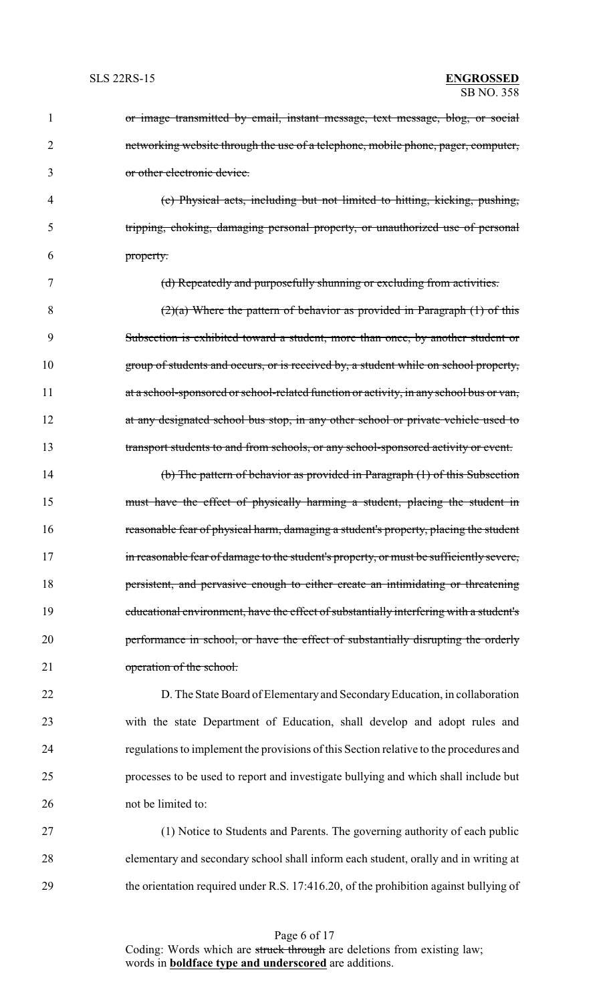| $\mathbf{1}$ | or image transmitted by email, instant message, text message, blog, or social           |
|--------------|-----------------------------------------------------------------------------------------|
| 2            | networking website through the use of a telephone, mobile phone, pager, computer,       |
| 3            | or other electronic device.                                                             |
| 4            | (c) Physical acts, including but not limited to hitting, kicking, pushing,              |
| 5            | tripping, choking, damaging personal property, or unauthorized use of personal          |
| 6            | property.                                                                               |
| 7            | (d) Repeatedly and purposefully shunning or excluding from activities.                  |
| 8            | $(2)(a)$ Where the pattern of behavior as provided in Paragraph $(1)$ of this           |
| 9            | Subsection is exhibited toward a student, more than once, by another student or         |
| 10           | group of students and occurs, or is received by, a student while on school property,    |
| 11           | at a school-sponsored or school-related function or activity, in any school bus or van, |
| 12           | at any designated school bus stop, in any other school or private vehicle used to       |
| 13           | transport students to and from schools, or any school-sponsored activity or event.      |
| 14           | (b) The pattern of behavior as provided in Paragraph (1) of this Subsection             |
| 15           | must have the effect of physically harming a student, placing the student in            |
| 16           | reasonable fear of physical harm, damaging a student's property, placing the student    |
| 17           | in reasonable fear of damage to the student's property, or must be sufficiently severe, |
| 18           | persistent, and pervasive enough to either create an intimidating or threatening        |
| 19           | educational environment, have the effect of substantially interfering with a student's  |
| 20           | performance in school, or have the effect of substantially disrupting the orderly       |
| 21           | operation of the school.                                                                |
| 22           | D. The State Board of Elementary and Secondary Education, in collaboration              |
| 23           | with the state Department of Education, shall develop and adopt rules and               |
| 24           | regulations to implement the provisions of this Section relative to the procedures and  |
| 25           | processes to be used to report and investigate bullying and which shall include but     |
| 26           | not be limited to:                                                                      |
|              |                                                                                         |

27 (1) Notice to Students and Parents. The governing authority of each public 28 elementary and secondary school shall inform each student, orally and in writing at 29 the orientation required under R.S. 17:416.20, of the prohibition against bullying of

Page 6 of 17 Coding: Words which are struck through are deletions from existing law; words in **boldface type and underscored** are additions.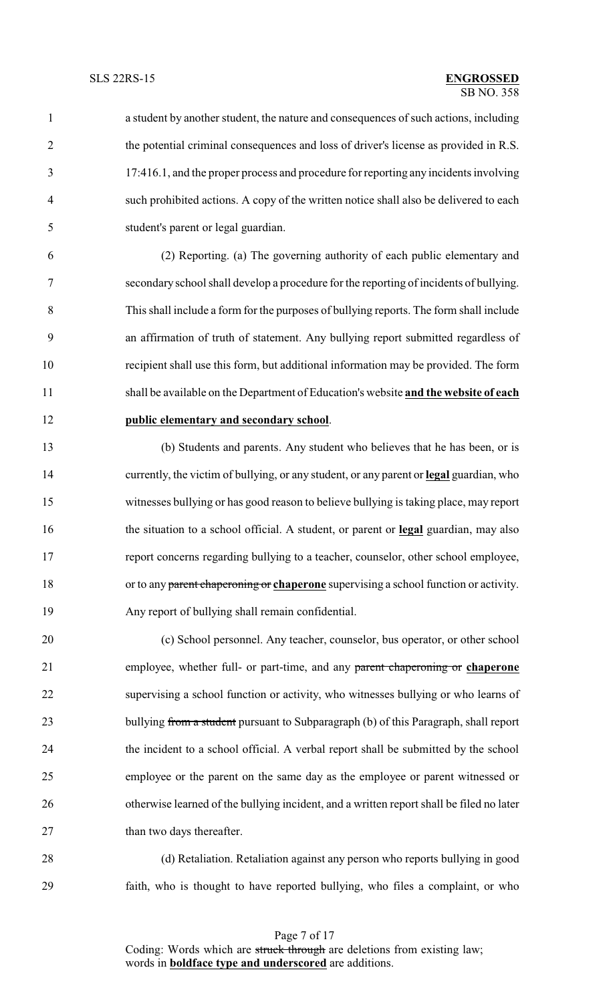a student by another student, the nature and consequences of such actions, including the potential criminal consequences and loss of driver's license as provided in R.S. 17:416.1, and the proper process and procedure for reporting any incidents involving such prohibited actions. A copy of the written notice shall also be delivered to each student's parent or legal guardian.

 (2) Reporting. (a) The governing authority of each public elementary and secondary school shall develop a procedure for the reporting of incidents of bullying. This shall include a form for the purposes of bullying reports. The form shall include an affirmation of truth of statement. Any bullying report submitted regardless of recipient shall use this form, but additional information may be provided. The form shall be available on the Department of Education's website **and the website of each public elementary and secondary school**.

 (b) Students and parents. Any student who believes that he has been, or is currently, the victim of bullying, or any student, or any parent or **legal** guardian, who witnesses bullying or has good reason to believe bullying is taking place, may report the situation to a school official. A student, or parent or **legal** guardian, may also report concerns regarding bullying to a teacher, counselor, other school employee, or to any parent chaperoning or **chaperone** supervising a school function or activity. Any report of bullying shall remain confidential.

 (c) School personnel. Any teacher, counselor, bus operator, or other school employee, whether full- or part-time, and any parent chaperoning or **chaperone** supervising a school function or activity, who witnesses bullying or who learns of 23 bullying from a student pursuant to Subparagraph (b) of this Paragraph, shall report the incident to a school official. A verbal report shall be submitted by the school employee or the parent on the same day as the employee or parent witnessed or 26 otherwise learned of the bullying incident, and a written report shall be filed no later 27 than two days thereafter.

 (d) Retaliation. Retaliation against any person who reports bullying in good faith, who is thought to have reported bullying, who files a complaint, or who

Page 7 of 17 Coding: Words which are struck through are deletions from existing law; words in **boldface type and underscored** are additions.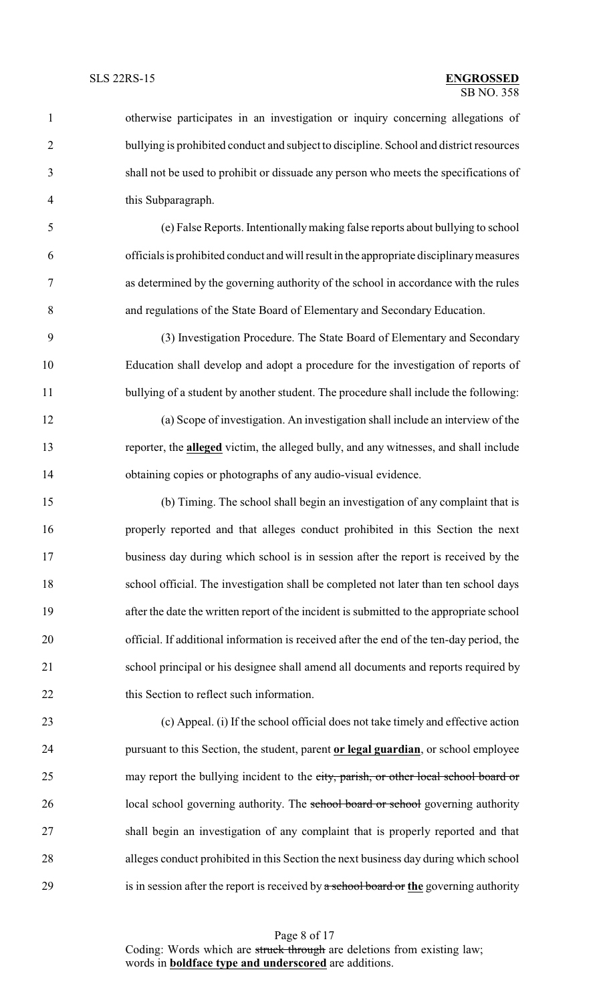| $\mathbf{1}$   | otherwise participates in an investigation or inquiry concerning allegations of              |
|----------------|----------------------------------------------------------------------------------------------|
| $\overline{2}$ | bullying is prohibited conduct and subject to discipline. School and district resources      |
| 3              | shall not be used to prohibit or dissuade any person who meets the specifications of         |
| 4              | this Subparagraph.                                                                           |
| 5              | (e) False Reports. Intentionally making false reports about bullying to school               |
| 6              | officials is prohibited conduct and will result in the appropriate disciplinary measures     |
| 7              | as determined by the governing authority of the school in accordance with the rules          |
| 8              | and regulations of the State Board of Elementary and Secondary Education.                    |
| 9              | (3) Investigation Procedure. The State Board of Elementary and Secondary                     |
| 10             | Education shall develop and adopt a procedure for the investigation of reports of            |
| 11             | bullying of a student by another student. The procedure shall include the following:         |
| 12             | (a) Scope of investigation. An investigation shall include an interview of the               |
| 13             | reporter, the <b>alleged</b> victim, the alleged bully, and any witnesses, and shall include |
| 14             | obtaining copies or photographs of any audio-visual evidence.                                |
| 15             | (b) Timing. The school shall begin an investigation of any complaint that is                 |
| 16             | properly reported and that alleges conduct prohibited in this Section the next               |
| 17             | business day during which school is in session after the report is received by the           |
| 18             | school official. The investigation shall be completed not later than ten school days         |
| 19             | after the date the written report of the incident is submitted to the appropriate school     |
| 20             | official. If additional information is received after the end of the ten-day period, the     |
| 21             | school principal or his designee shall amend all documents and reports required by           |
| 22             | this Section to reflect such information.                                                    |
| 23             | (c) Appeal. (i) If the school official does not take timely and effective action             |
| 24             | pursuant to this Section, the student, parent or legal guardian, or school employee          |
| 25             | may report the bullying incident to the city, parish, or other local school board or         |
| 26             | local school governing authority. The school board or school governing authority             |
| 27             | shall begin an investigation of any complaint that is properly reported and that             |
| 28             | alleges conduct prohibited in this Section the next business day during which school         |

is in session after the report is received by a school board or **the** governing authority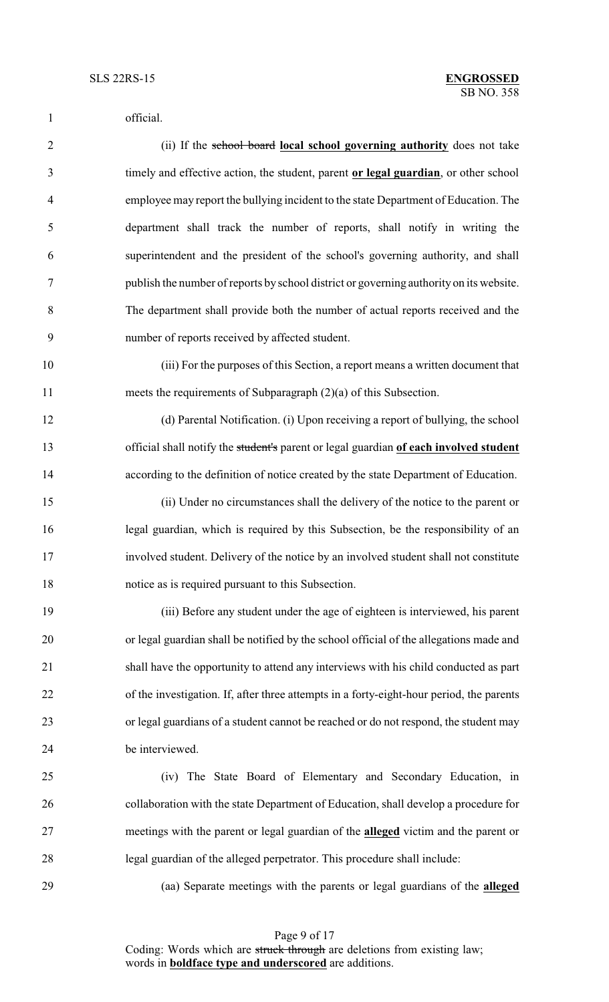official. (ii) If the school board **local school governing authority** does not take timely and effective action, the student, parent **or legal guardian**, or other school employee may report the bullying incident to the state Department of Education. The department shall track the number of reports, shall notify in writing the superintendent and the president of the school's governing authority, and shall publish the number of reports by school district or governing authority on its website. The department shall provide both the number of actual reports received and the number of reports received by affected student. (iii) For the purposes of this Section, a report means a written document that meets the requirements of Subparagraph (2)(a) of this Subsection. (d) Parental Notification. (i) Upon receiving a report of bullying, the school official shall notify the student's parent or legal guardian **of each involved student** according to the definition of notice created by the state Department of Education. (ii) Under no circumstances shall the delivery of the notice to the parent or legal guardian, which is required by this Subsection, be the responsibility of an involved student. Delivery of the notice by an involved student shall not constitute notice as is required pursuant to this Subsection. (iii) Before any student under the age of eighteen is interviewed, his parent or legal guardian shall be notified by the school official of the allegations made and shall have the opportunity to attend any interviews with his child conducted as part of the investigation. If, after three attempts in a forty-eight-hour period, the parents or legal guardians of a student cannot be reached or do not respond, the student may be interviewed. (iv) The State Board of Elementary and Secondary Education, in collaboration with the state Department of Education, shall develop a procedure for meetings with the parent or legal guardian of the **alleged** victim and the parent or legal guardian of the alleged perpetrator. This procedure shall include: (aa) Separate meetings with the parents or legal guardians of the **alleged**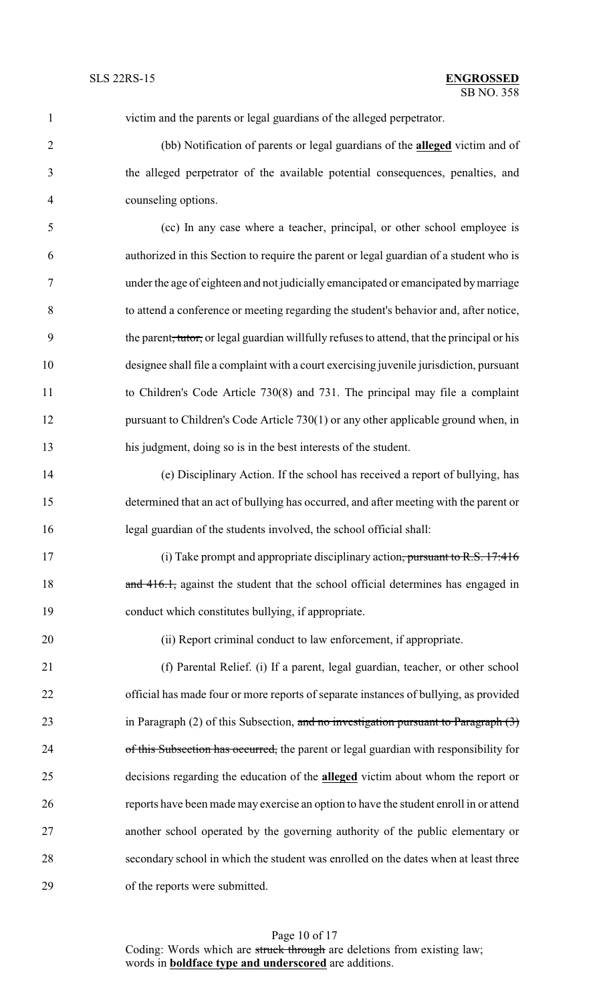| $\mathbf{1}$   | victim and the parents or legal guardians of the alleged perpetrator.                                   |
|----------------|---------------------------------------------------------------------------------------------------------|
| $\overline{2}$ | (bb) Notification of parents or legal guardians of the <b>alleged</b> victim and of                     |
| 3              | the alleged perpetrator of the available potential consequences, penalties, and                         |
| $\overline{4}$ | counseling options.                                                                                     |
| 5              | (cc) In any case where a teacher, principal, or other school employee is                                |
| 6              | authorized in this Section to require the parent or legal guardian of a student who is                  |
| $\tau$         | under the age of eighteen and not judicially emancipated or emancipated by marriage                     |
| 8              | to attend a conference or meeting regarding the student's behavior and, after notice,                   |
| 9              | the parent <del>, tutor,</del> or legal guardian willfully refuses to attend, that the principal or his |
| 10             | designee shall file a complaint with a court exercising juvenile jurisdiction, pursuant                 |
| 11             | to Children's Code Article 730(8) and 731. The principal may file a complaint                           |
| 12             | pursuant to Children's Code Article 730(1) or any other applicable ground when, in                      |
| 13             | his judgment, doing so is in the best interests of the student.                                         |
| 14             | (e) Disciplinary Action. If the school has received a report of bullying, has                           |
| 15             | determined that an act of bullying has occurred, and after meeting with the parent or                   |
| 16             | legal guardian of the students involved, the school official shall:                                     |
| 17             | (i) Take prompt and appropriate disciplinary action, pursuant to R.S. $17:416$                          |
| 18             | and 416.1, against the student that the school official determines has engaged in                       |
| 19             | conduct which constitutes bullying, if appropriate.                                                     |
| 20             | (ii) Report criminal conduct to law enforcement, if appropriate.                                        |
| 21             | (f) Parental Relief. (i) If a parent, legal guardian, teacher, or other school                          |
| 22             | official has made four or more reports of separate instances of bullying, as provided                   |
| 23             | in Paragraph $(2)$ of this Subsection, and no investigation pursuant to Paragraph $(3)$                 |
| 24             | of this Subsection has occurred, the parent or legal guardian with responsibility for                   |
| 25             | decisions regarding the education of the <b>alleged</b> victim about whom the report or                 |
| 26             | reports have been made may exercise an option to have the student enroll in or attend                   |
| 27             | another school operated by the governing authority of the public elementary or                          |
| 28             | secondary school in which the student was enrolled on the dates when at least three                     |
| 29             | of the reports were submitted.                                                                          |

Page 10 of 17 Coding: Words which are struck through are deletions from existing law; words in **boldface type and underscored** are additions.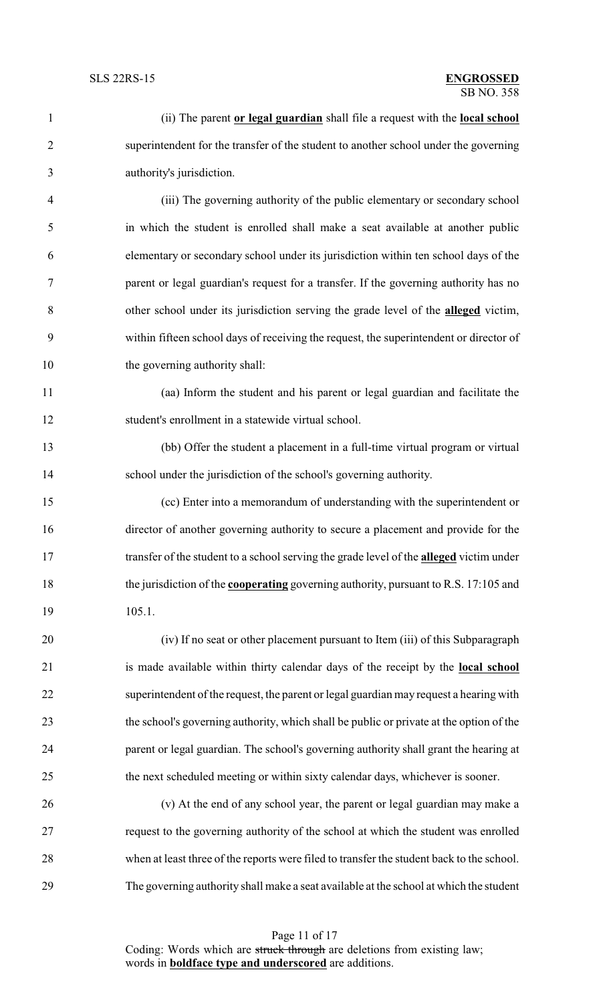| $\mathbf{1}$   | (ii) The parent or legal guardian shall file a request with the local school                   |
|----------------|------------------------------------------------------------------------------------------------|
| $\overline{2}$ | superintendent for the transfer of the student to another school under the governing           |
| 3              | authority's jurisdiction.                                                                      |
| $\overline{4}$ | (iii) The governing authority of the public elementary or secondary school                     |
| 5              | in which the student is enrolled shall make a seat available at another public                 |
| 6              | elementary or secondary school under its jurisdiction within ten school days of the            |
| 7              | parent or legal guardian's request for a transfer. If the governing authority has no           |
| 8              | other school under its jurisdiction serving the grade level of the <b>alleged</b> victim,      |
| 9              | within fifteen school days of receiving the request, the superintendent or director of         |
| 10             | the governing authority shall:                                                                 |
| 11             | (aa) Inform the student and his parent or legal guardian and facilitate the                    |
| 12             | student's enrollment in a statewide virtual school.                                            |
| 13             | (bb) Offer the student a placement in a full-time virtual program or virtual                   |
| 14             | school under the jurisdiction of the school's governing authority.                             |
| 15             | (cc) Enter into a memorandum of understanding with the superintendent or                       |
| 16             | director of another governing authority to secure a placement and provide for the              |
| 17             | transfer of the student to a school serving the grade level of the <b>alleged</b> victim under |
| 18             | the jurisdiction of the <b>cooperating</b> governing authority, pursuant to R.S. 17:105 and    |
| 19             | 105.1.                                                                                         |
| 20             | (iv) If no seat or other placement pursuant to Item (iii) of this Subparagraph                 |
| 21             | is made available within thirty calendar days of the receipt by the local school               |
| 22             | superintendent of the request, the parent or legal guardian may request a hearing with         |
| 23             | the school's governing authority, which shall be public or private at the option of the        |
| 24             | parent or legal guardian. The school's governing authority shall grant the hearing at          |
| 25             | the next scheduled meeting or within sixty calendar days, whichever is sooner.                 |
| 26             | (v) At the end of any school year, the parent or legal guardian may make a                     |
| 27             | request to the governing authority of the school at which the student was enrolled             |
| 28             | when at least three of the reports were filed to transfer the student back to the school.      |
| 29             | The governing authority shall make a seat available at the school at which the student         |

Page 11 of 17 Coding: Words which are struck through are deletions from existing law; words in **boldface type and underscored** are additions.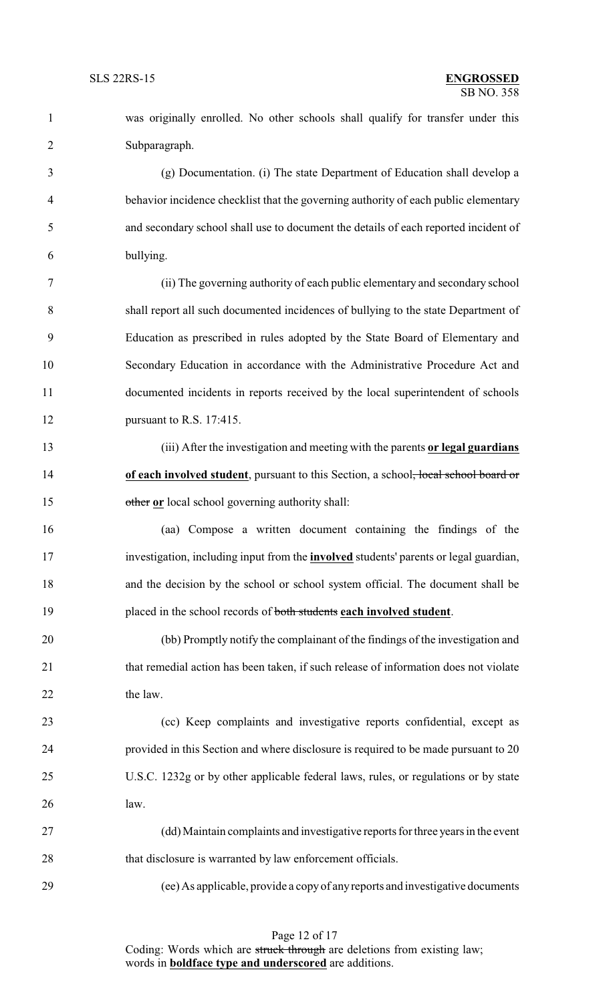was originally enrolled. No other schools shall qualify for transfer under this Subparagraph.

 (g) Documentation. (i) The state Department of Education shall develop a behavior incidence checklist that the governing authority of each public elementary and secondary school shall use to document the details of each reported incident of bullying.

 (ii) The governing authority of each public elementary and secondary school shall report all such documented incidences of bullying to the state Department of Education as prescribed in rules adopted by the State Board of Elementary and Secondary Education in accordance with the Administrative Procedure Act and documented incidents in reports received by the local superintendent of schools pursuant to R.S. 17:415.

 (iii) After the investigation and meeting with the parents **or legal guardians** 14 **of each involved student**, pursuant to this Section, a school<del>, local school board or</del> other **or** local school governing authority shall:

 (aa) Compose a written document containing the findings of the investigation, including input from the **involved** students' parents or legal guardian, and the decision by the school or school system official. The document shall be placed in the school records of both students **each involved student**.

 (bb) Promptly notify the complainant of the findings of the investigation and 21 that remedial action has been taken, if such release of information does not violate 22 the law.

 (cc) Keep complaints and investigative reports confidential, except as provided in this Section and where disclosure is required to be made pursuant to 20 U.S.C. 1232g or by other applicable federal laws, rules, or regulations or by state law.

 (dd) Maintain complaints and investigative reports for three years in the event 28 that disclosure is warranted by law enforcement officials.

(ee) As applicable, provide a copy of anyreports and investigative documents

Coding: Words which are struck through are deletions from existing law; words in **boldface type and underscored** are additions.

### Page 12 of 17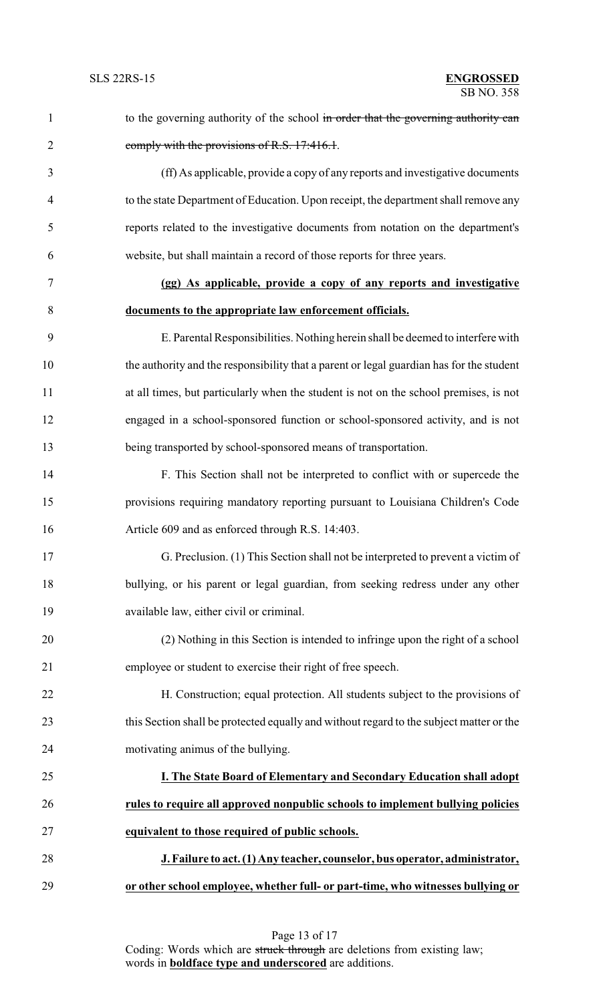| 1              | to the governing authority of the school in order that the governing authority can       |
|----------------|------------------------------------------------------------------------------------------|
| $\overline{2}$ | comply with the provisions of R.S. 17:416.1.                                             |
| 3              | (ff) As applicable, provide a copy of any reports and investigative documents            |
| $\overline{4}$ | to the state Department of Education. Upon receipt, the department shall remove any      |
| 5              | reports related to the investigative documents from notation on the department's         |
| 6              | website, but shall maintain a record of those reports for three years.                   |
| 7              | (gg) As applicable, provide a copy of any reports and investigative                      |
| 8              | documents to the appropriate law enforcement officials.                                  |
| 9              | E. Parental Responsibilities. Nothing herein shall be deemed to interfere with           |
| 10             | the authority and the responsibility that a parent or legal guardian has for the student |
| 11             | at all times, but particularly when the student is not on the school premises, is not    |
| 12             | engaged in a school-sponsored function or school-sponsored activity, and is not          |
| 13             | being transported by school-sponsored means of transportation.                           |
| 14             | F. This Section shall not be interpreted to conflict with or supercede the               |
| 15             | provisions requiring mandatory reporting pursuant to Louisiana Children's Code           |
| 16             | Article 609 and as enforced through R.S. 14:403.                                         |
| 17             | G. Preclusion. (1) This Section shall not be interpreted to prevent a victim of          |
| 18             | bullying, or his parent or legal guardian, from seeking redress under any other          |
| 19             | available law, either civil or criminal.                                                 |
| 20             | (2) Nothing in this Section is intended to infringe upon the right of a school           |
| 21             | employee or student to exercise their right of free speech.                              |
| 22             | H. Construction; equal protection. All students subject to the provisions of             |
| 23             | this Section shall be protected equally and without regard to the subject matter or the  |
| 24             | motivating animus of the bullying.                                                       |
| 25             | I. The State Board of Elementary and Secondary Education shall adopt                     |
| 26             | rules to require all approved nonpublic schools to implement bullying policies           |
| 27             | equivalent to those required of public schools.                                          |
| 28             | J. Failure to act. (1) Any teacher, counselor, bus operator, administrator,              |
| 29             | or other school employee, whether full- or part-time, who witnesses bullying or          |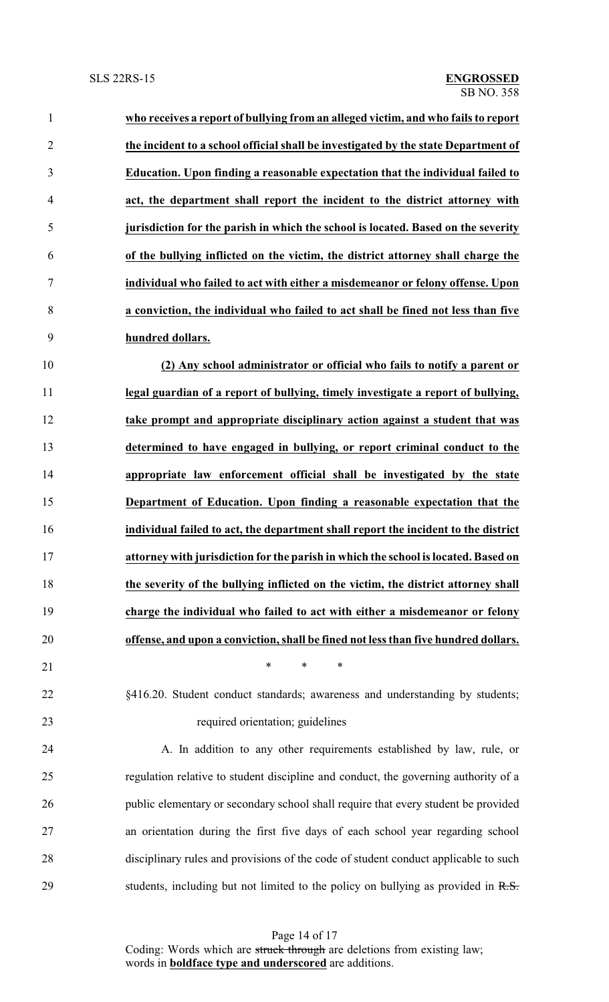| $\mathbf{1}$   | who receives a report of bullying from an alleged victim, and who fails to report   |
|----------------|-------------------------------------------------------------------------------------|
| $\overline{2}$ | the incident to a school official shall be investigated by the state Department of  |
| 3              | Education. Upon finding a reasonable expectation that the individual failed to      |
| 4              | act, the department shall report the incident to the district attorney with         |
| 5              | jurisdiction for the parish in which the school is located. Based on the severity   |
| 6              | of the bullying inflicted on the victim, the district attorney shall charge the     |
| 7              | individual who failed to act with either a misdemeanor or felony offense. Upon      |
| 8              | a conviction, the individual who failed to act shall be fined not less than five    |
| 9              | hundred dollars.                                                                    |
| 10             | (2) Any school administrator or official who fails to notify a parent or            |
| 11             | legal guardian of a report of bullying, timely investigate a report of bullying,    |
| 12             | take prompt and appropriate disciplinary action against a student that was          |
| 13             | determined to have engaged in bullying, or report criminal conduct to the           |
| 14             | appropriate law enforcement official shall be investigated by the state             |
| 15             | Department of Education. Upon finding a reasonable expectation that the             |
| 16             | individual failed to act, the department shall report the incident to the district  |
| 17             | attorney with jurisdiction for the parish in which the school is located. Based on  |
| 18             | the severity of the bullying inflicted on the victim, the district attorney shall   |
| 19             | charge the individual who failed to act with either a misdemeanor or felony         |
| 20             | offense, and upon a conviction, shall be fined not less than five hundred dollars.  |
| 21             | *<br>$\ast$<br>$\ast$                                                               |
| 22             | §416.20. Student conduct standards; awareness and understanding by students;        |
| 23             | required orientation; guidelines                                                    |
| 24             | A. In addition to any other requirements established by law, rule, or               |
| 25             | regulation relative to student discipline and conduct, the governing authority of a |
| 26             | public elementary or secondary school shall require that every student be provided  |
| 27             | an orientation during the first five days of each school year regarding school      |
| 28             | disciplinary rules and provisions of the code of student conduct applicable to such |
| 29             | students, including but not limited to the policy on bullying as provided in R.S.   |

Page 14 of 17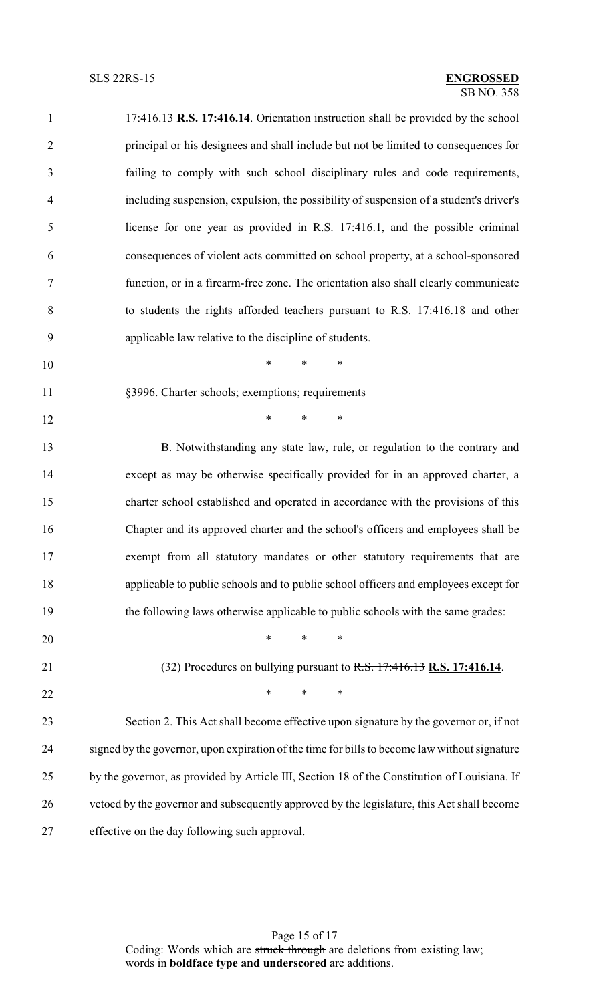| $\mathbf{1}$   | 17:416.13 R.S. 17:416.14. Orientation instruction shall be provided by the school             |
|----------------|-----------------------------------------------------------------------------------------------|
| $\overline{2}$ | principal or his designees and shall include but not be limited to consequences for           |
| 3              | failing to comply with such school disciplinary rules and code requirements,                  |
| $\overline{4}$ | including suspension, expulsion, the possibility of suspension of a student's driver's        |
| 5              | license for one year as provided in R.S. 17:416.1, and the possible criminal                  |
| 6              | consequences of violent acts committed on school property, at a school-sponsored              |
| 7              | function, or in a firearm-free zone. The orientation also shall clearly communicate           |
| $8\,$          | to students the rights afforded teachers pursuant to R.S. 17:416.18 and other                 |
| 9              | applicable law relative to the discipline of students.                                        |
| 10             | $*$ $*$<br>$*$ and $*$<br>$\ast$                                                              |
| 11             | §3996. Charter schools; exemptions; requirements                                              |
| 12             | $\ast$<br>$*$ and $*$<br>$\ast$                                                               |
| 13             | B. Notwithstanding any state law, rule, or regulation to the contrary and                     |
| 14             | except as may be otherwise specifically provided for in an approved charter, a                |
| 15             | charter school established and operated in accordance with the provisions of this             |
| 16             | Chapter and its approved charter and the school's officers and employees shall be             |
| 17             | exempt from all statutory mandates or other statutory requirements that are                   |
| 18             | applicable to public schools and to public school officers and employees except for           |
| 19             | the following laws otherwise applicable to public schools with the same grades:               |
| 20             | $\ast$<br>$\ast$<br>$\ast$                                                                    |
| 21             | $(32)$ Procedures on bullying pursuant to R.S. $17:416.13$ R.S. 17:416.14.                    |
| 22             | $\ast$<br>$\ast$<br>$\ast$                                                                    |
| 23             | Section 2. This Act shall become effective upon signature by the governor or, if not          |
| 24             | signed by the governor, upon expiration of the time for bills to become law without signature |
| 25             | by the governor, as provided by Article III, Section 18 of the Constitution of Louisiana. If  |
| 26             | vetoed by the governor and subsequently approved by the legislature, this Act shall become    |
| 27             | effective on the day following such approval.                                                 |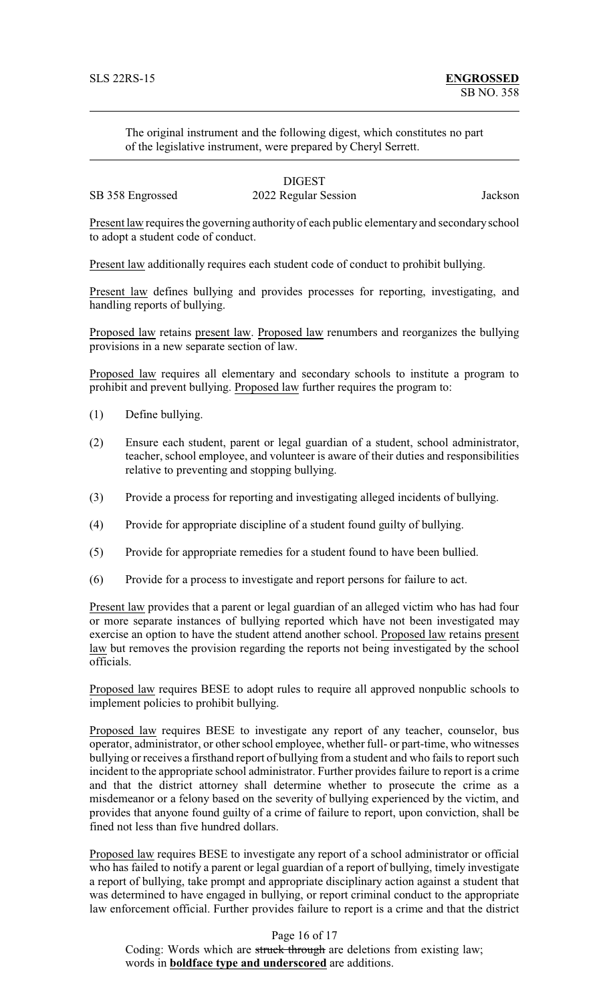The original instrument and the following digest, which constitutes no part of the legislative instrument, were prepared by Cheryl Serrett.

# **DIGEST**

SB 358 Engrossed 2022 Regular Session Jackson

Present law requires the governing authority of each public elementary and secondaryschool to adopt a student code of conduct.

Present law additionally requires each student code of conduct to prohibit bullying.

Present law defines bullying and provides processes for reporting, investigating, and handling reports of bullying.

Proposed law retains present law. Proposed law renumbers and reorganizes the bullying provisions in a new separate section of law.

Proposed law requires all elementary and secondary schools to institute a program to prohibit and prevent bullying. Proposed law further requires the program to:

- (1) Define bullying.
- (2) Ensure each student, parent or legal guardian of a student, school administrator, teacher, school employee, and volunteer is aware of their duties and responsibilities relative to preventing and stopping bullying.
- (3) Provide a process for reporting and investigating alleged incidents of bullying.
- (4) Provide for appropriate discipline of a student found guilty of bullying.
- (5) Provide for appropriate remedies for a student found to have been bullied.
- (6) Provide for a process to investigate and report persons for failure to act.

Present law provides that a parent or legal guardian of an alleged victim who has had four or more separate instances of bullying reported which have not been investigated may exercise an option to have the student attend another school. Proposed law retains present law but removes the provision regarding the reports not being investigated by the school officials.

Proposed law requires BESE to adopt rules to require all approved nonpublic schools to implement policies to prohibit bullying.

Proposed law requires BESE to investigate any report of any teacher, counselor, bus operator, administrator, or other school employee, whether full- or part-time, who witnesses bullying or receives a firsthand report of bullying from a student and who fails to report such incident to the appropriate school administrator. Further provides failure to report is a crime and that the district attorney shall determine whether to prosecute the crime as a misdemeanor or a felony based on the severity of bullying experienced by the victim, and provides that anyone found guilty of a crime of failure to report, upon conviction, shall be fined not less than five hundred dollars.

Proposed law requires BESE to investigate any report of a school administrator or official who has failed to notify a parent or legal guardian of a report of bullying, timely investigate a report of bullying, take prompt and appropriate disciplinary action against a student that was determined to have engaged in bullying, or report criminal conduct to the appropriate law enforcement official. Further provides failure to report is a crime and that the district

Page 16 of 17